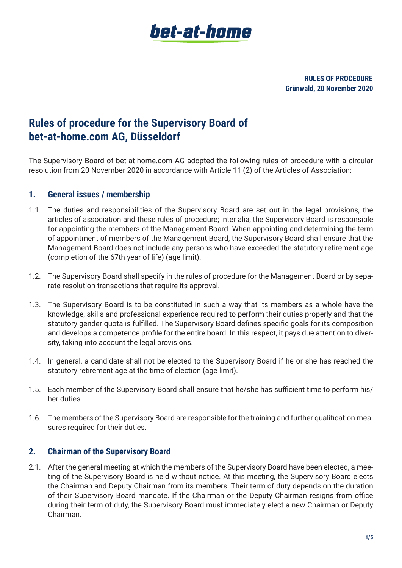

**RULES OF PROCEDURE Grünwald, 20 November 2020**

# **Rules of procedure for the Supervisory Board of bet-at-home.com AG, Düsseldorf**

The Supervisory Board of bet-at-home.com AG adopted the following rules of procedure with a circular resolution from 20 November 2020 in accordance with Article 11 (2) of the Articles of Association:

#### **1. General issues / membership**

- 1.1. The duties and responsibilities of the Supervisory Board are set out in the legal provisions, the articles of association and these rules of procedure; inter alia, the Supervisory Board is responsible for appointing the members of the Management Board. When appointing and determining the term of appointment of members of the Management Board, the Supervisory Board shall ensure that the Management Board does not include any persons who have exceeded the statutory retirement age (completion of the 67th year of life) (age limit).
- 1.2. The Supervisory Board shall specify in the rules of procedure for the Management Board or by separate resolution transactions that require its approval.
- 1.3. The Supervisory Board is to be constituted in such a way that its members as a whole have the knowledge, skills and professional experience required to perform their duties properly and that the statutory gender quota is fulfilled. The Supervisory Board defines specific goals for its composition and develops a competence profile for the entire board. In this respect, it pays due attention to diversity, taking into account the legal provisions.
- 1.4. In general, a candidate shall not be elected to the Supervisory Board if he or she has reached the statutory retirement age at the time of election (age limit).
- 1.5. Each member of the Supervisory Board shall ensure that he/she has sufficient time to perform his/ her duties.
- 1.6. The members of the Supervisory Board are responsible for the training and further qualification measures required for their duties.

### **2. Chairman of the Supervisory Board**

2.1. After the general meeting at which the members of the Supervisory Board have been elected, a meeting of the Supervisory Board is held without notice. At this meeting, the Supervisory Board elects the Chairman and Deputy Chairman from its members. Their term of duty depends on the duration of their Supervisory Board mandate. If the Chairman or the Deputy Chairman resigns from office during their term of duty, the Supervisory Board must immediately elect a new Chairman or Deputy Chairman.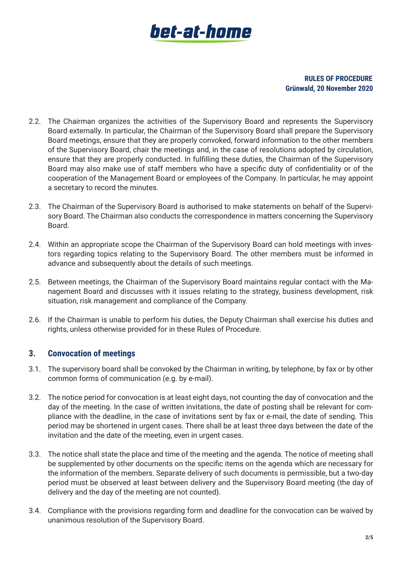# bet-at-home

#### **RULES OF PROCEDURE Grünwald, 20 November 2020**

- 2.2. The Chairman organizes the activities of the Supervisory Board and represents the Supervisory Board externally. In particular, the Chairman of the Supervisory Board shall prepare the Supervisory Board meetings, ensure that they are properly convoked, forward information to the other members of the Supervisory Board, chair the meetings and, in the case of resolutions adopted by circulation, ensure that they are properly conducted. In fulfilling these duties, the Chairman of the Supervisory Board may also make use of staff members who have a specific duty of confidentiality or of the cooperation of the Management Board or employees of the Company. In particular, he may appoint a secretary to record the minutes.
- 2.3. The Chairman of the Supervisory Board is authorised to make statements on behalf of the Supervisory Board. The Chairman also conducts the correspondence in matters concerning the Supervisory Board.
- 2.4. Within an appropriate scope the Chairman of the Supervisory Board can hold meetings with investors regarding topics relating to the Supervisory Board. The other members must be informed in advance and subsequently about the details of such meetings.
- 2.5. Between meetings, the Chairman of the Supervisory Board maintains regular contact with the Management Board and discusses with it issues relating to the strategy, business development, risk situation, risk management and compliance of the Company.
- 2.6. If the Chairman is unable to perform his duties, the Deputy Chairman shall exercise his duties and rights, unless otherwise provided for in these Rules of Procedure.

### **3. Convocation of meetings**

- 3.1. The supervisory board shall be convoked by the Chairman in writing, by telephone, by fax or by other common forms of communication (e.g. by e-mail).
- 3.2. The notice period for convocation is at least eight days, not counting the day of convocation and the day of the meeting. In the case of written invitations, the date of posting shall be relevant for compliance with the deadline, in the case of invitations sent by fax or e-mail, the date of sending. This period may be shortened in urgent cases. There shall be at least three days between the date of the invitation and the date of the meeting, even in urgent cases.
- 3.3. The notice shall state the place and time of the meeting and the agenda. The notice of meeting shall be supplemented by other documents on the specific items on the agenda which are necessary for the information of the members. Separate delivery of such documents is permissible, but a two-day period must be observed at least between delivery and the Supervisory Board meeting (the day of delivery and the day of the meeting are not counted).
- 3.4. Compliance with the provisions regarding form and deadline for the convocation can be waived by unanimous resolution of the Supervisory Board.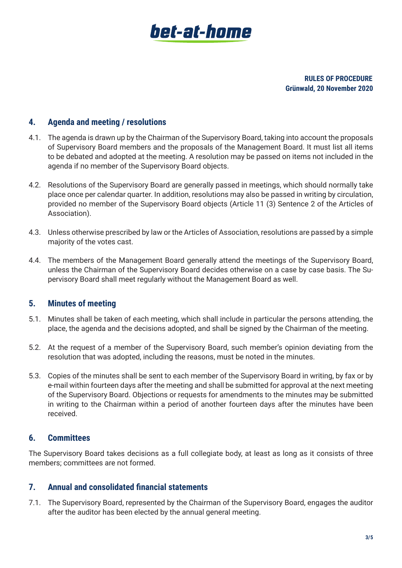

**RULES OF PROCEDURE Grünwald, 20 November 2020**

#### **4. Agenda and meeting / resolutions**

- 4.1. The agenda is drawn up by the Chairman of the Supervisory Board, taking into account the proposals of Supervisory Board members and the proposals of the Management Board. It must list all items to be debated and adopted at the meeting. A resolution may be passed on items not included in the agenda if no member of the Supervisory Board objects.
- 4.2. Resolutions of the Supervisory Board are generally passed in meetings, which should normally take place once per calendar quarter. In addition, resolutions may also be passed in writing by circulation, provided no member of the Supervisory Board objects (Article 11 (3) Sentence 2 of the Articles of Association).
- 4.3. Unless otherwise prescribed by law or the Articles of Association, resolutions are passed by a simple majority of the votes cast.
- 4.4. The members of the Management Board generally attend the meetings of the Supervisory Board, unless the Chairman of the Supervisory Board decides otherwise on a case by case basis. The Supervisory Board shall meet regularly without the Management Board as well.

### **5. Minutes of meeting**

- 5.1. Minutes shall be taken of each meeting, which shall include in particular the persons attending, the place, the agenda and the decisions adopted, and shall be signed by the Chairman of the meeting.
- 5.2. At the request of a member of the Supervisory Board, such member's opinion deviating from the resolution that was adopted, including the reasons, must be noted in the minutes.
- 5.3. Copies of the minutes shall be sent to each member of the Supervisory Board in writing, by fax or by e-mail within fourteen days after the meeting and shall be submitted for approval at the next meeting of the Supervisory Board. Objections or requests for amendments to the minutes may be submitted in writing to the Chairman within a period of another fourteen days after the minutes have been received.

### **6. Committees**

The Supervisory Board takes decisions as a full collegiate body, at least as long as it consists of three members; committees are not formed.

#### **7. Annual and consolidated financial statements**

7.1. The Supervisory Board, represented by the Chairman of the Supervisory Board, engages the auditor after the auditor has been elected by the annual general meeting.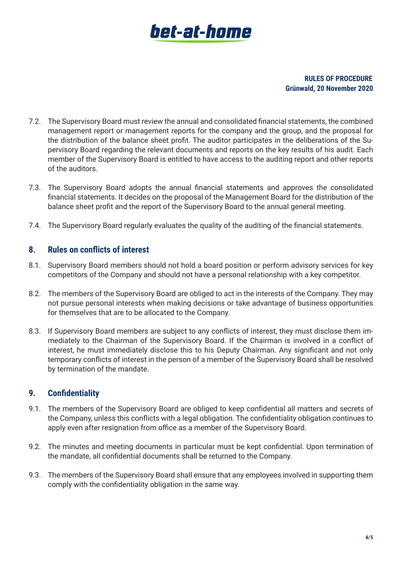# bet-at-home

#### **RULES OF PROCEDURE Grünwald, 20 November 2020**

- 7.2. The Supervisory Board must review the annual and consolidated financial statements, the combined management report or management reports for the company and the group, and the proposal for the distribution of the balance sheet profit. The auditor participates in the deliberations of the Supervisory Board regarding the relevant documents and reports on the key results of his audit. Each member of the Supervisory Board is entitled to have access to the auditing report and other reports of the auditors.
- 7.3. The Supervisory Board adopts the annual financial statements and approves the consolidated financial statements. It decides on the proposal of the Management Board for the distribution of the balance sheet profit and the report of the Supervisory Board to the annual general meeting.
- 7.4. The Supervisory Board regularly evaluates the quality of the auditing of the financial statements.

### **8. Rules on conflicts of interest**

- 8.1. Supervisory Board members should not hold a board position or perform advisory services for key competitors of the Company and should not have a personal relationship with a key competitor.
- 8.2. The members of the Supervisory Board are obliged to act in the interests of the Company. They may not pursue personal interests when making decisions or take advantage of business opportunities for themselves that are to be allocated to the Company.
- 8.3. If Supervisory Board members are subject to any conflicts of interest, they must disclose them immediately to the Chairman of the Supervisory Board. If the Chairman is involved in a conflict of interest, he must immediately disclose this to his Deputy Chairman. Any significant and not only temporary conflicts of interest in the person of a member of the Supervisory Board shall be resolved by termination of the mandate.

# **9. Confidentiality**

- 9.1. The members of the Supervisory Board are obliged to keep confidential all matters and secrets of the Company, unless this conflicts with a legal obligation. The confidentiality obligation continues to apply even after resignation from office as a member of the Supervisory Board.
- 9.2. The minutes and meeting documents in particular must be kept confidential. Upon termination of the mandate, all confidential documents shall be returned to the Company.
- 9.3. The members of the Supervisory Board shall ensure that any employees involved in supporting them comply with the confidentiality obligation in the same way.